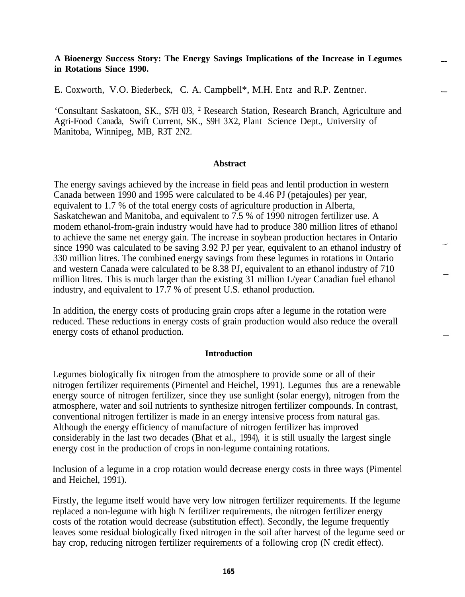## **A Bioenergy Success Story: The Energy Savings Implications of the Increase in Legumes in Rotations Since 1990.**

E. Coxworth, V.O. Biederbeck, C. A. Campbell\*, M.H. Entz and R.P. Zentner.

'Consultant Saskatoon, SK., S7H 0J3, \* Research Station, Research Branch, Agriculture and Agri-Food Canada, Swift Current, SK., S9H 3X2, Plant Science Dept., University of Manitoba, Winnipeg, MB, R3T 2N2.

#### **Abstract**

The energy savings achieved by the increase in field peas and lentil production in western Canada between 1990 and 1995 were calculated to be 4.46 PJ (petajoules) per year, equivalent to 1.7 % of the total energy costs of agriculture production in Alberta, Saskatchewan and Manitoba, and equivalent to 7.5 % of 1990 nitrogen fertilizer use. A modem ethanol-from-grain industry would have had to produce 380 million litres of ethanol to achieve the same net energy gain. The increase in soybean production hectares in Ontario since 1990 was calculated to be saving 3.92 PJ per year, equivalent to an ethanol industry of 330 million litres. The combined energy savings from these legumes in rotations in Ontario and western Canada were calculated to be 8.38 PJ, equivalent to an ethanol industry of 710 million litres. This is much larger than the existing 31 million L/year Canadian fuel ethanol industry, and equivalent to 17.7 % of present U.S. ethanol production.

In addition, the energy costs of producing grain crops after a legume in the rotation were reduced. These reductions in energy costs of grain production would also reduce the overall energy costs of ethanol production.

### **Introduction**

Legumes biologically fix nitrogen from the atmosphere to provide some or all of their nitrogen fertilizer requirements (Pirnentel and Heichel, 1991). Legumes thus are a renewable energy source of nitrogen fertilizer, since they use sunlight (solar energy), nitrogen from the atmosphere, water and soil nutrients to synthesize nitrogen fertilizer compounds. In contrast, conventional nitrogen fertilizer is made in an energy intensive process from natural gas. Although the energy efficiency of manufacture of nitrogen fertilizer has improved considerably in the last two decades (Bhat et al., 1994), it is still usually the largest single energy cost in the production of crops in non-legume containing rotations.

Inclusion of a legume in a crop rotation would decrease energy costs in three ways (Pimentel and Heichel, 1991).

Firstly, the legume itself would have very low nitrogen fertilizer requirements. If the legume replaced a non-legume with high N fertilizer requirements, the nitrogen fertilizer energy costs of the rotation would decrease (substitution effect). Secondly, the legume frequently leaves some residual biologically fixed nitrogen in the soil after harvest of the legume seed or hay crop, reducing nitrogen fertilizer requirements of a following crop (N credit effect).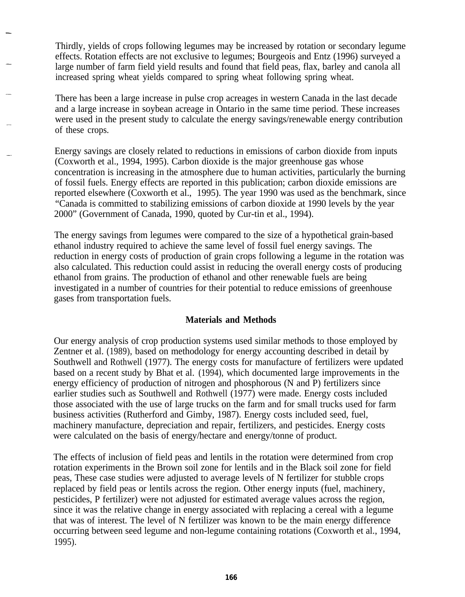Thirdly, yields of crops following legumes may be increased by rotation or secondary legume effects. Rotation effects are not exclusive to legumes; Bourgeois and Entz (1996) surveyed a large number of farm field yield results and found that field peas, flax, barley and canola all increased spring wheat yields compared to spring wheat following spring wheat.

There has been a large increase in pulse crop acreages in western Canada in the last decade and a large increase in soybean acreage in Ontario in the same time period. These increases were used in the present study to calculate the energy savings/renewable energy contribution of these crops.

Energy savings are closely related to reductions in emissions of carbon dioxide from inputs (Coxworth et al., 1994, 1995). Carbon dioxide is the major greenhouse gas whose concentration is increasing in the atmosphere due to human activities, particularly the burning of fossil fuels. Energy effects are reported in this publication; carbon dioxide emissions are reported elsewhere (Coxworth et al., 1995). The year 1990 was used as the benchmark, since "Canada is committed to stabilizing emissions of carbon dioxide at 1990 levels by the year 2000" (Government of Canada, 1990, quoted by Cur-tin et al., 1994).

The energy savings from legumes were compared to the size of a hypothetical grain-based ethanol industry required to achieve the same level of fossil fuel energy savings. The reduction in energy costs of production of grain crops following a legume in the rotation was also calculated. This reduction could assist in reducing the overall energy costs of producing ethanol from grains. The production of ethanol and other renewable fuels are being investigated in a number of countries for their potential to reduce emissions of greenhouse gases from transportation fuels.

## **Materials and Methods**

Our energy analysis of crop production systems used similar methods to those employed by Zentner et al. (1989), based on methodology for energy accounting described in detail by Southwell and Rothwell (1977). The energy costs for manufacture of fertilizers were updated based on a recent study by Bhat et al. (1994), which documented large improvements in the energy efficiency of production of nitrogen and phosphorous (N and P) fertilizers since earlier studies such as Southwell and Rothwell (1977) were made. Energy costs included those associated with the use of large trucks on the farm and for small trucks used for farm business activities (Rutherford and Gimby, 1987). Energy costs included seed, fuel, machinery manufacture, depreciation and repair, fertilizers, and pesticides. Energy costs were calculated on the basis of energy/hectare and energy/tonne of product.

The effects of inclusion of field peas and lentils in the rotation were determined from crop rotation experiments in the Brown soil zone for lentils and in the Black soil zone for field peas, These case studies were adjusted to average levels of N fertilizer for stubble crops replaced by field peas or lentils across the region. Other energy inputs (fuel, machinery, pesticides, P fertilizer) were not adjusted for estimated average values across the region, since it was the relative change in energy associated with replacing a cereal with a legume that was of interest. The level of N fertilizer was known to be the main energy difference occurring between seed legume and non-legume containing rotations (Coxworth et al., 1994, 1995).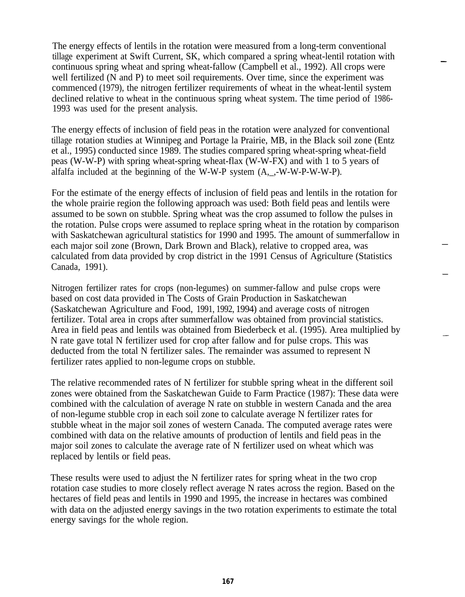The energy effects of lentils in the rotation were measured from a long-term conventional tillage experiment at Swift Current, SK, which compared a spring wheat-lentil rotation with continuous spring wheat and spring wheat-fallow (Campbell et al., 1992). All crops were well fertilized (N and P) to meet soil requirements. Over time, since the experiment was commenced (1979), the nitrogen fertilizer requirements of wheat in the wheat-lentil system declined relative to wheat in the continuous spring wheat system. The time period of 1986- 1993 was used for the present analysis.

The energy effects of inclusion of field peas in the rotation were analyzed for conventional tillage rotation studies at Winnipeg and Portage la Prairie, MB, in the Black soil zone (Entz et al., 1995) conducted since 1989. The studies compared spring wheat-spring wheat-field peas (W-W-P) with spring wheat-spring wheat-flax (W-W-FX) and with 1 to 5 years of alfalfa included at the beginning of the W-W-P system (A,\_,-W-W-P-W-W-P).

For the estimate of the energy effects of inclusion of field peas and lentils in the rotation for the whole prairie region the following approach was used: Both field peas and lentils were assumed to be sown on stubble. Spring wheat was the crop assumed to follow the pulses in the rotation. Pulse crops were assumed to replace spring wheat in the rotation by comparison with Saskatchewan agricultural statistics for 1990 and 1995. The amount of summerfallow in each major soil zone (Brown, Dark Brown and Black), relative to cropped area, was calculated from data provided by crop district in the 1991 Census of Agriculture (Statistics Canada, 1991).

Nitrogen fertilizer rates for crops (non-legumes) on summer-fallow and pulse crops were based on cost data provided in The Costs of Grain Production in Saskatchewan (Saskatchewan Agriculture and Food, 1991, 1992, 1994) and average costs of nitrogen fertilizer. Total area in crops after summerfallow was obtained from provincial statistics. Area in field peas and lentils was obtained from Biederbeck et al. (1995). Area multiplied by N rate gave total N fertilizer used for crop after fallow and for pulse crops. This was deducted from the total N fertilizer sales. The remainder was assumed to represent N fertilizer rates applied to non-legume crops on stubble.

The relative recommended rates of N fertilizer for stubble spring wheat in the different soil zones were obtained from the Saskatchewan Guide to Farm Practice (1987): These data were combined with the calculation of average N rate on stubble in western Canada and the area of non-legume stubble crop in each soil zone to calculate average N fertilizer rates for stubble wheat in the major soil zones of western Canada. The computed average rates were combined with data on the relative amounts of production of lentils and field peas in the major soil zones to calculate the average rate of N fertilizer used on wheat which was replaced by lentils or field peas.

These results were used to adjust the N fertilizer rates for spring wheat in the two crop rotation case studies to more closely reflect average N rates across the region. Based on the hectares of field peas and lentils in 1990 and 1995, the increase in hectares was combined with data on the adjusted energy savings in the two rotation experiments to estimate the total energy savings for the whole region.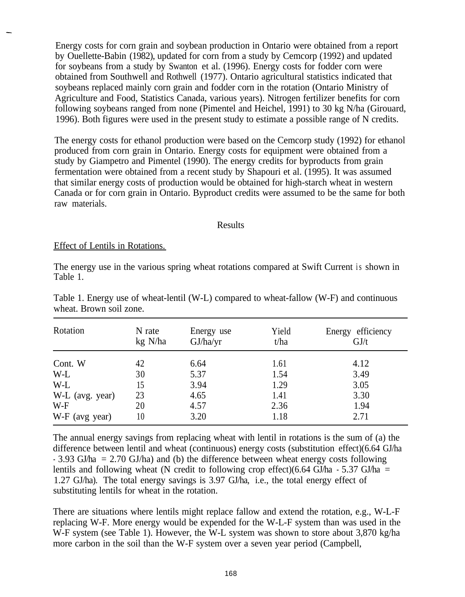Energy costs for corn grain and soybean production in Ontario were obtained from a report by Ouellette-Babin (1982), updated for corn from a study by Cemcorp (1992) and updated for soybeans from a study by Swanton et al. (1996). Energy costs for fodder corn were obtained from Southwell and Rothwell (1977). Ontario agricultural statistics indicated that soybeans replaced mainly corn grain and fodder corn in the rotation (Ontario Ministry of Agriculture and Food, Statistics Canada, various years). Nitrogen fertilizer benefits for corn following soybeans ranged from none (Pimentel and Heichel, 1991) to 30 kg N/ha (Girouard, 1996). Both figures were used in the present study to estimate a possible range of N credits.

The energy costs for ethanol production were based on the Cemcorp study (1992) for ethanol produced from corn grain in Ontario. Energy costs for equipment were obtained from a study by Giampetro and Pimentel (1990). The energy credits for byproducts from grain fermentation were obtained from a recent study by Shapouri et al. (1995). It was assumed that similar energy costs of production would be obtained for high-starch wheat in western Canada or for corn grain in Ontario. Byproduct credits were assumed to be the same for both raw materials.

#### Results

### Effect of Lentils in Rotations.

The energy use in the various spring wheat rotations compared at Swift Current is shown in Table 1.

| Rotation        | N rate<br>kg N/ha | Energy use<br>GJ/ha/yr | Yield<br>t/ha | Energy efficiency<br>GJ/t |
|-----------------|-------------------|------------------------|---------------|---------------------------|
| Cont. W<br>W-L  | 42<br>30          | 6.64<br>5.37           | 1.61<br>1.54  | 4.12<br>3.49              |
| W-L             | 15                | 3.94                   | 1.29          | 3.05                      |
| W-L (avg. year) | 23                | 4.65                   | 1.41          | 3.30                      |
| $W-F$           | 20                | 4.57                   | 2.36          | 1.94                      |
| W-F (avg year)  | 10                | 3.20                   | 1.18          | 2.71                      |

Table 1. Energy use of wheat-lentil (W-L) compared to wheat-fallow (W-F) and continuous wheat. Brown soil zone.

The annual energy savings from replacing wheat with lentil in rotations is the sum of (a) the difference between lentil and wheat (continuous) energy costs (substitution effect)(6.64 GJ/ha  $-3.93$  GJ/ha = 2.70 GJ/ha) and (b) the difference between wheat energy costs following lentils and following wheat (N credit to following crop effect)(6.64 GJ/ha - 5.37 GJ/ha = 1.27 GJ/ha). The total energy savings is 3.97 GJ/ha, i.e., the total energy effect of substituting lentils for wheat in the rotation.

There are situations where lentils might replace fallow and extend the rotation, e.g., W-L-F replacing W-F. More energy would be expended for the W-L-F system than was used in the W-F system (see Table 1). However, the W-L system was shown to store about 3,870 kg/ha more carbon in the soil than the W-F system over a seven year period (Campbell,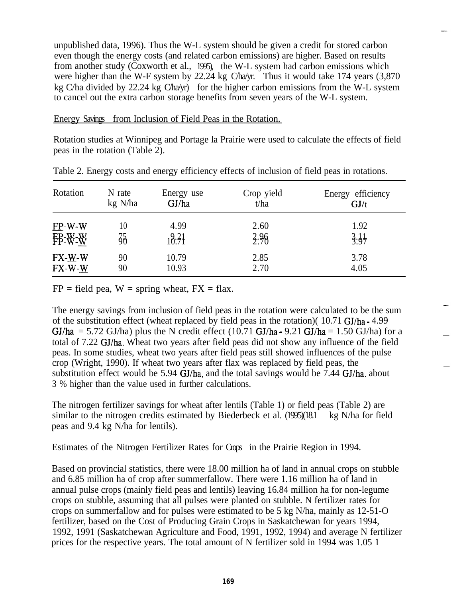unpublished data, 1996). Thus the W-L system should be given a credit for stored carbon even though the energy costs (and related carbon emissions) are higher. Based on results from another study (Coxworth et al., 1995), the W-L system had carbon emissions which , were higher than the W-F system by 22.24 kg Cha/yr. Thus it would take 174 years (3,870) kg C/ha divided by 22.24 kg C/ha/yr) for the higher carbon emissions from the W-L system to cancel out the extra carbon storage benefits from seven years of the W-L system.

Energy Savings from Inclusion of Field Peas in the Rotation.

Rotation studies at Winnipeg and Portage la Prairie were used to calculate the effects of field peas in the rotation (Table 2).

| Rotation     | N rate  | Energy use | Crop yield | Energy efficiency |
|--------------|---------|------------|------------|-------------------|
|              | kg N/ha | GJ/ha      | t/ha       | GJ/t              |
| $EP-W-W$     | 10      | 4.99       | 2.60       | 1.92              |
| FP-W-W       | 35      | 10.71      | 2.96       | 3.67              |
| $FX - W - W$ | 90      | 10.79      | 2.85       | 3.78              |
| FX-W-W       | 90      | 10.93      | 2.70       | 4.05              |

Table 2. Energy costs and energy efficiency effects of inclusion of field peas in rotations.

 $FP = field$  pea,  $W = spring$  wheat,  $FX = flax$ .

The energy savings from inclusion of field peas in the rotation were calculated to be the sum of the substitution effect (wheat replaced by field peas in the rotation)(  $10.71$  GJ/ha - 4.99 GJ/ha = 5.72 GJ/ha) plus the N credit effect (10.71 GJ/ha - 9.21 GJ/ha = 1.50 GJ/ha) for a total of 7.22 GJ/ha. Wheat two years after field peas did not show any influence of the field peas. In some studies, wheat two years after field peas still showed influences of the pulse crop (Wright, 1990). If wheat two years after flax was replaced by field peas, the substitution effect would be 5.94  $GI/ha$ , and the total savings would be 7.44  $GI/ha$ , about 3 % higher than the value used in further calculations.

The nitrogen fertilizer savings for wheat after lentils (Table 1) or field peas (Table 2) are similar to the nitrogen credits estimated by Biederbeck et al. (1995)(18.1 kg N/ha for field peas and 9.4 kg N/ha for lentils).

## Estimates of the Nitrogen Fertilizer Rates for Crops in the Prairie Region in 1994.

Based on provincial statistics, there were 18.00 million ha of land in annual crops on stubble and 6.85 million ha of crop after summerfallow. There were 1.16 million ha of land in annual pulse crops (mainly field peas and lentils) leaving 16.84 million ha for non-legume crops on stubble, assuming that all pulses were planted on stubble. N fertilizer rates for crops on summerfallow and for pulses were estimated to be 5 kg N/ha, mainly as 12-51-O fertilizer, based on the Cost of Producing Grain Crops in Saskatchewan for years 1994, 1992, 1991 (Saskatchewan Agriculture and Food, 1991, 1992, 1994) and average N fertilizer prices for the respective years. The total amount of N fertilizer sold in 1994 was 1.05 1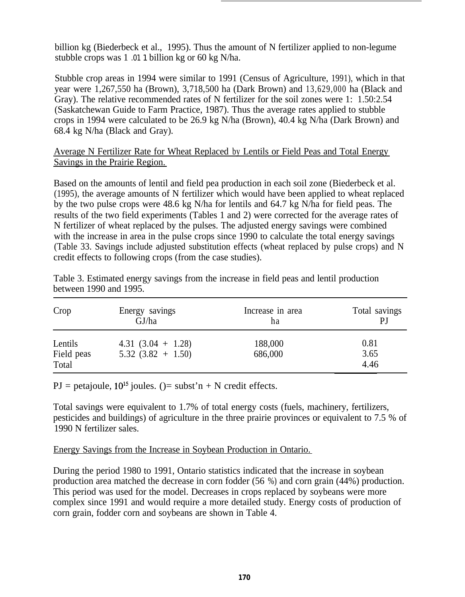billion kg (Biederbeck et al., 1995). Thus the amount of N fertilizer applied to non-legume stubble crops was 1 .01 1 billion kg or 60 kg N/ha.

Stubble crop areas in 1994 were similar to 1991 (Census of Agriculture, 1991), which in that year were 1,267,550 ha (Brown), 3,718,500 ha (Dark Brown) and 13,629,000 ha (Black and Gray). The relative recommended rates of N fertilizer for the soil zones were 1: 1.50:2.54 (Saskatchewan Guide to Farm Practice, 1987). Thus the average rates applied to stubble crops in 1994 were calculated to be 26.9 kg N/ha (Brown), 40.4 kg N/ha (Dark Brown) and 68.4 kg N/ha (Black and Gray).

# Average N Fertilizer Rate for Wheat Replaced by Lentils or Field Peas and Total Energy Savings in the Prairie Region.

Based on the amounts of lentil and field pea production in each soil zone (Biederbeck et al. (1995), the average amounts of N fertilizer which would have been applied to wheat replaced by the two pulse crops were 48.6 kg N/ha for lentils and 64.7 kg N/ha for field peas. The results of the two field experiments (Tables 1 and 2) were corrected for the average rates of N fertilizer of wheat replaced by the pulses. The adjusted energy savings were combined with the increase in area in the pulse crops since 1990 to calculate the total energy savings (Table 33. Savings include adjusted substitution effects (wheat replaced by pulse crops) and N credit effects to following crops (from the case studies).

| Table 3. Estimated energy savings from the increase in field peas and lentil production |  |  |  |  |  |  |
|-----------------------------------------------------------------------------------------|--|--|--|--|--|--|
| between 1990 and 1995.                                                                  |  |  |  |  |  |  |

| Crop                           | Energy savings                              | Increase in area   | Total savings        |
|--------------------------------|---------------------------------------------|--------------------|----------------------|
|                                | GJ/ha                                       | ha                 | PJ                   |
| Lentils<br>Field peas<br>Total | 4.31 $(3.04 + 1.28)$<br>$5.32(3.82 + 1.50)$ | 188,000<br>686,000 | 0.81<br>3.65<br>4.46 |

PJ = petajoule,  $10^{15}$  joules. ()= subst'n + N credit effects.

Total savings were equivalent to 1.7% of total energy costs (fuels, machinery, fertilizers, pesticides and buildings) of agriculture in the three prairie provinces or equivalent to 7.5 % of 1990 N fertilizer sales.

# Energy Savings from the Increase in Soybean Production in Ontario.

During the period 1980 to 1991, Ontario statistics indicated that the increase in soybean production area matched the decrease in corn fodder (56 %) and corn grain (44%) production. This period was used for the model. Decreases in crops replaced by soybeans were more complex since 1991 and would require a more detailed study. Energy costs of production of corn grain, fodder corn and soybeans are shown in Table 4.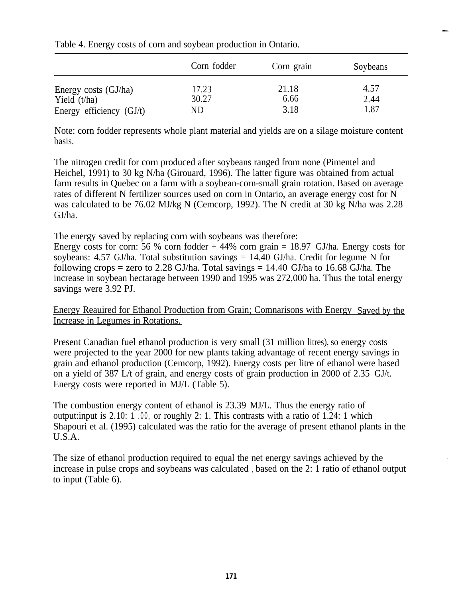|                                        | Corn fodder    | Corn grain    | Soybeans     |
|----------------------------------------|----------------|---------------|--------------|
| Energy costs (GJ/ha)<br>Yield $(t/ha)$ | 17.23<br>30.27 | 21.18<br>6.66 | 4.57<br>2.44 |
| Energy efficiency $(GJ/t)$             | ND             | 3.18          | 1.87         |

Table 4. Energy costs of corn and soybean production in Ontario.

Note: corn fodder represents whole plant material and yields are on a silage moisture content basis.

The nitrogen credit for corn produced after soybeans ranged from none (Pimentel and Heichel, 1991) to 30 kg N/ha (Girouard, 1996). The latter figure was obtained from actual farm results in Quebec on a farm with a soybean-corn-small grain rotation. Based on average rates of different N fertilizer sources used on corn in Ontario, an average energy cost for N was calculated to be 76.02 MJ/kg N (Cemcorp, 1992). The N credit at 30 kg N/ha was 2.28 GJ/ha.

The energy saved by replacing corn with soybeans was therefore:

Energy costs for corn: 56 % corn fodder  $+44%$  corn grain = 18.97 GJ/ha. Energy costs for soybeans: 4.57 GJ/ha. Total substitution savings  $= 14.40$  GJ/ha. Credit for legume N for following crops = zero to 2.28 GJ/ha. Total savings =  $14.40$  GJ/ha to 16.68 GJ/ha. The increase in soybean hectarage between 1990 and 1995 was 272,000 ha. Thus the total energy savings were 3.92 PJ.

Energy Reauired for Ethanol Production from Grain; Comnarisons with Energy Saved by the Increase in Legumes in Rotations.

Present Canadian fuel ethanol production is very small (31 million litres), so energy costs were projected to the year 2000 for new plants taking advantage of recent energy savings in grain and ethanol production (Cemcorp, 1992). Energy costs per litre of ethanol were based on a yield of 387 L/t of grain, and energy costs of grain production in 2000 of 2.35 GJ/t. Energy costs were reported in MJ/L (Table 5).

The combustion energy content of ethanol is 23.39 MJ/L. Thus the energy ratio of output:input is 2.10: 1 .00, or roughly 2: 1. This contrasts with a ratio of 1.24: 1 which Shapouri et al. (1995) calculated was the ratio for the average of present ethanol plants in the U.S.A.

The size of ethanol production required to equal the net energy savings achieved by the increase in pulse crops and soybeans was calculated , based on the 2: 1 ratio of ethanol output to input (Table 6).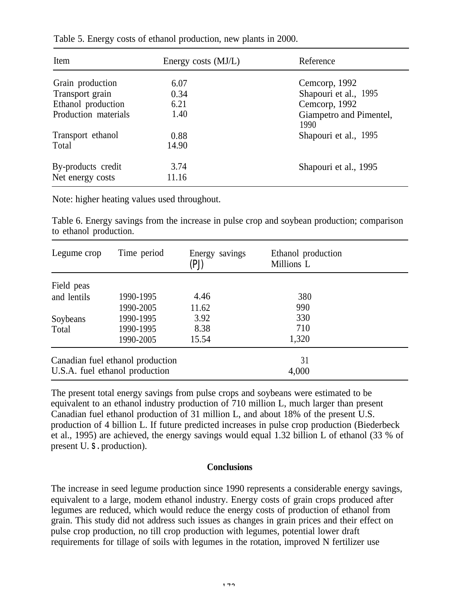| Item                 | Energy costs (MJ/L) | Reference                       |
|----------------------|---------------------|---------------------------------|
| Grain production     | 6.07                | Cemcorp, 1992                   |
| Transport grain      | 0.34                | Shapouri et al., 1995           |
| Ethanol production   | 6.21                | Cemcorp, 1992                   |
| Production materials | 1.40                | Giampetro and Pimentel,<br>1990 |
| Transport ethanol    | 0.88                | Shapouri et al., 1995           |
| Total                | 14.90               |                                 |
| By-products credit   | 3.74                | Shapouri et al., 1995           |
| Net energy costs     | 11.16               |                                 |

Table 5. Energy costs of ethanol production, new plants in 2000.

Note: higher heating values used throughout.

Table 6. Energy savings from the increase in pulse crop and soybean production; comparison to ethanol production.

| Legume crop                    | Time period                      | Energy savings<br>(PJ) | Ethanol production<br>Millions L |  |
|--------------------------------|----------------------------------|------------------------|----------------------------------|--|
| Field peas                     |                                  |                        |                                  |  |
| and lentils                    | 1990-1995                        | 4.46                   | 380                              |  |
|                                | 1990-2005                        | 11.62                  | 990                              |  |
| Soybeans                       | 1990-1995                        | 3.92                   | 330                              |  |
| Total                          | 1990-1995                        | 8.38                   | 710                              |  |
|                                | 1990-2005                        | 15.54                  | 1,320                            |  |
|                                | Canadian fuel ethanol production |                        | 31                               |  |
| U.S.A. fuel ethanol production |                                  |                        | 4,000                            |  |

The present total energy savings from pulse crops and soybeans were estimated to be equivalent to an ethanol industry production of 710 million L, much larger than present Canadian fuel ethanol production of 31 million L, and about 18% of the present U.S. production of 4 billion L. If future predicted increases in pulse crop production (Biederbeck et al., 1995) are achieved, the energy savings would equal 1.32 billion L of ethanol (33 % of present U. **S .** production).

## **Conclusions**

The increase in seed legume production since 1990 represents a considerable energy savings, equivalent to a large, modem ethanol industry. Energy costs of grain crops produced after legumes are reduced, which would reduce the energy costs of production of ethanol from grain. This study did not address such issues as changes in grain prices and their effect on pulse crop production, no till crop production with legumes, potential lower draft requirements for tillage of soils with legumes in the rotation, improved N fertilizer use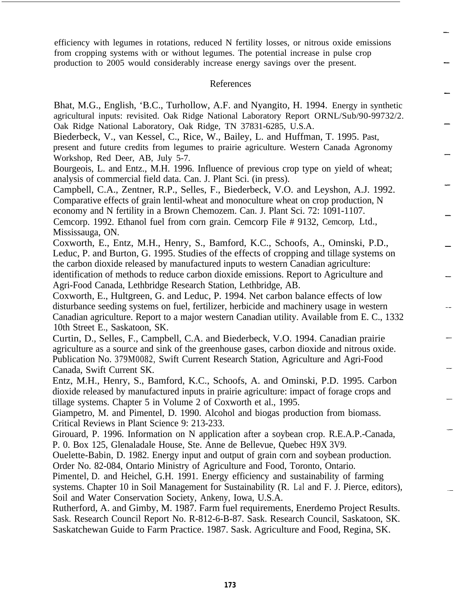efficiency with legumes in rotations, reduced N fertility losses, or nitrous oxide emissions from cropping systems with or without legumes. The potential increase in pulse crop production to 2005 would considerably increase energy savings over the present.

#### References

Bhat, M.G., English, 'B.C., Turhollow, A.F. and Nyangito, H. 1994. Energy in synthetic agricultural inputs: revisited. Oak Ridge National Laboratory Report ORNL/Sub/90-99732/2. Oak Ridge National Laboratory, Oak Ridge, TN 37831-6285, U.S.A.

Biederbeck, V., van Kessel, C., Rice, W., Bailey, L. and Huffman, T. 1995. Past, present and future credits from legumes to prairie agriculture. Western Canada Agronomy Workshop, Red Deer, AB, July 5-7.

Bourgeois, L. and Entz., M.H. 1996. Influence of previous crop type on yield of wheat; analysis of commercial field data. Can. J. Plant Sci. (in press).

Campbell, C.A., Zentner, R.P., Selles, F., Biederbeck, V.O. and Leyshon, A.J. 1992. Comparative effects of grain lentil-wheat and monoculture wheat on crop production, N economy and N fertility in a Brown Chemozem. Can. J. Plant Sci. 72: 1091-1107. Cemcorp. 1992. Ethanol fuel from corn grain. Cemcorp File # 9132, Cemcorp, Ltd., Mississauga, ON.

Coxworth, E., Entz, M.H., Henry, S., Bamford, K.C., Schoofs, A., Ominski, P.D., Leduc, P. and Burton, G. 1995. Studies of the effects of cropping and tillage systems on the carbon dioxide released by manufactured inputs to western Canadian agriculture: identification of methods to reduce carbon dioxide emissions. Report to Agriculture and Agri-Food Canada, Lethbridge Research Station, Lethbridge, AB.

Coxworth, E., Hultgreen, G. and Leduc, P. 1994. Net carbon balance effects of low disturbance seeding systems on fuel, fertilizer, herbicide and machinery usage in western Canadian agriculture. Report to a major western Canadian utility. Available from E. C., 1332 10th Street E., Saskatoon, SK.

Curtin, D., Selles, F., Campbell, C.A. and Biederbeck, V.O. 1994. Canadian prairie agriculture as a source and sink of the greenhouse gases, carbon dioxide and nitrous oxide. Publication No. 379M0082, Swift Current Research Station, Agriculture and Agri-Food Canada, Swift Current SK.

Entz, M.H., Henry, S., Bamford, K.C., Schoofs, A. and Ominski, P.D. 1995. Carbon dioxide released by manufactured inputs in prairie agriculture: impact of forage crops and tillage systems. Chapter 5 in Volume 2 of Coxworth et al., 1995.

Giampetro, M. and Pimentel, D. 1990. Alcohol and biogas production from biomass. Critical Reviews in Plant Science 9: 213-233.

Girouard, P. 1996. Information on N application after a soybean crop. R.E.A.P.-Canada, P. 0. Box 125, Glenaladale House, Ste. Anne de Bellevue, Quebec H9X 3V9.

Ouelette-Babin, D. 1982. Energy input and output of grain corn and soybean production. Order No. 82-084, Ontario Ministry of Agriculture and Food, Toronto, Ontario.

Pimentel, D. and Heichel, G.H. 1991. Energy efficiency and sustainability of farming systems. Chapter 10 in Soil Management for Sustainability (R. Lal and F. J. Pierce, editors), Soil and Water Conservation Society, Ankeny, Iowa, U.S.A.

Rutherford, A. and Gimby, M. 1987. Farm fuel requirements, Enerdemo Project Results. Sask. Research Council Report No. R-812-6-B-87. Sask. Research Council, Saskatoon, SK. Saskatchewan Guide to Farm Practice. 1987. Sask. Agriculture and Food, Regina, SK.

**173**